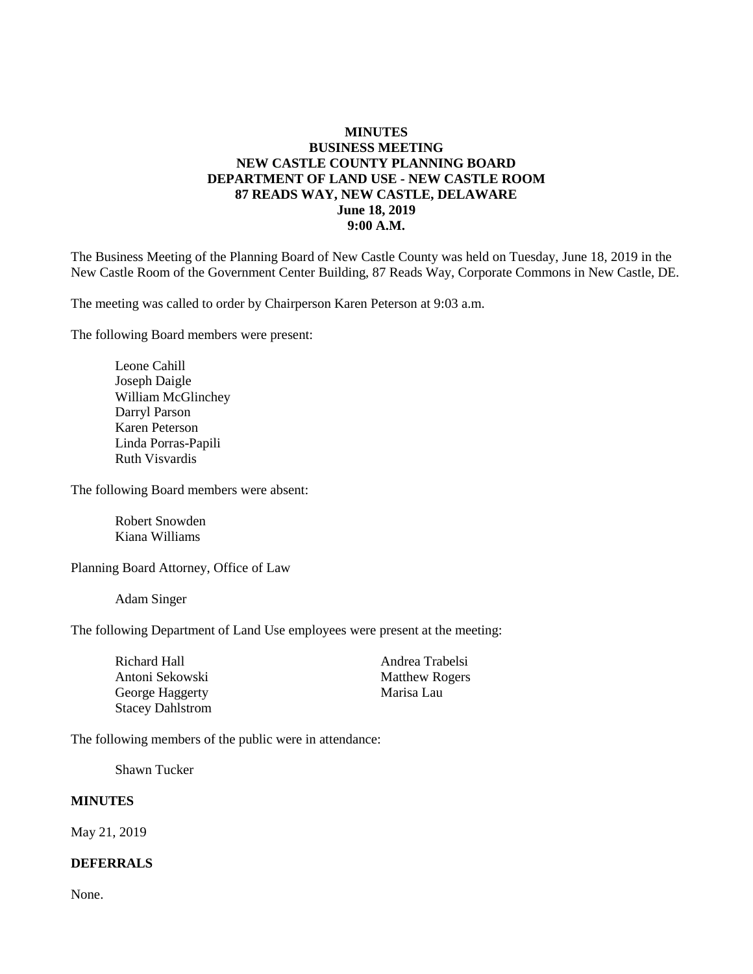#### **MINUTES BUSINESS MEETING NEW CASTLE COUNTY PLANNING BOARD DEPARTMENT OF LAND USE - NEW CASTLE ROOM 87 READS WAY, NEW CASTLE, DELAWARE June 18, 2019 9:00 A.M.**

The Business Meeting of the Planning Board of New Castle County was held on Tuesday, June 18, 2019 in the New Castle Room of the Government Center Building, 87 Reads Way, Corporate Commons in New Castle, DE.

The meeting was called to order by Chairperson Karen Peterson at 9:03 a.m.

The following Board members were present:

Leone Cahill Joseph Daigle William McGlinchey Darryl Parson Karen Peterson Linda Porras-Papili Ruth Visvardis

The following Board members were absent:

Robert Snowden Kiana Williams

Planning Board Attorney, Office of Law

Adam Singer

The following Department of Land Use employees were present at the meeting:

Richard Hall Andrea Trabelsi Antoni Sekowski Matthew Rogers George Haggerty **Marisa Lau** Stacey Dahlstrom

The following members of the public were in attendance:

Shawn Tucker

#### **MINUTES**

May 21, 2019

#### **DEFERRALS**

None.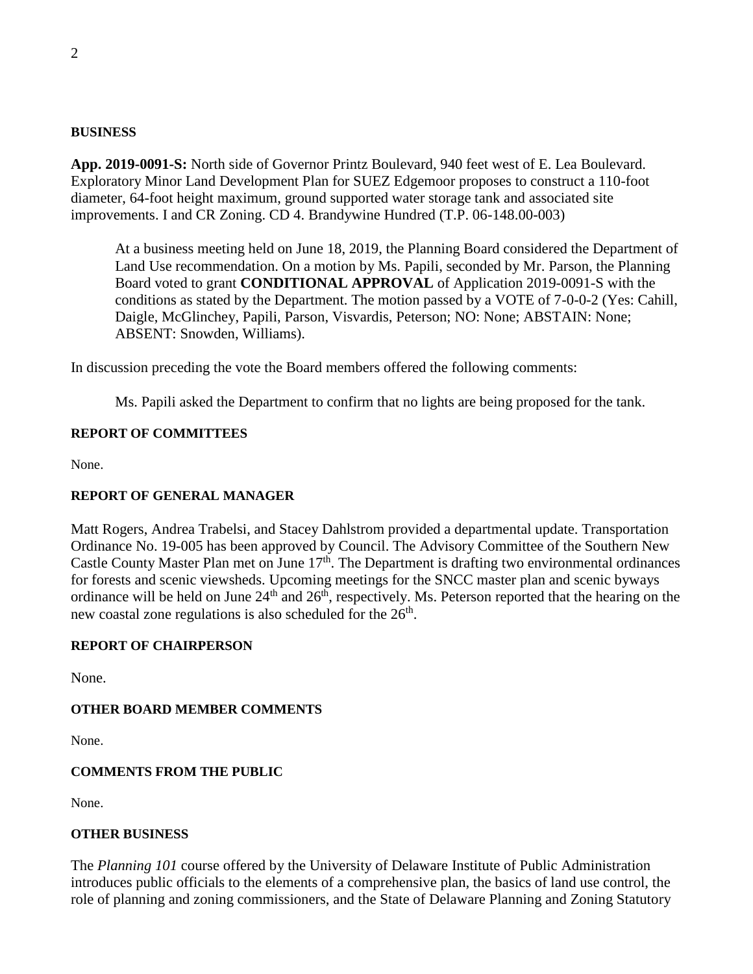#### **BUSINESS**

**App. 2019-0091-S:** North side of Governor Printz Boulevard, 940 feet west of E. Lea Boulevard. Exploratory Minor Land Development Plan for SUEZ Edgemoor proposes to construct a 110-foot diameter, 64-foot height maximum, ground supported water storage tank and associated site improvements. I and CR Zoning. CD 4. Brandywine Hundred (T.P. 06-148.00-003)

At a business meeting held on June 18, 2019, the Planning Board considered the Department of Land Use recommendation. On a motion by Ms. Papili, seconded by Mr. Parson, the Planning Board voted to grant **CONDITIONAL APPROVAL** of Application 2019-0091-S with the conditions as stated by the Department. The motion passed by a VOTE of 7-0-0-2 (Yes: Cahill, Daigle, McGlinchey, Papili, Parson, Visvardis, Peterson; NO: None; ABSTAIN: None; ABSENT: Snowden, Williams).

In discussion preceding the vote the Board members offered the following comments:

Ms. Papili asked the Department to confirm that no lights are being proposed for the tank.

## **REPORT OF COMMITTEES**

None.

## **REPORT OF GENERAL MANAGER**

Matt Rogers, Andrea Trabelsi, and Stacey Dahlstrom provided a departmental update. Transportation Ordinance No. 19-005 has been approved by Council. The Advisory Committee of the Southern New Castle County Master Plan met on June  $17<sup>th</sup>$ . The Department is drafting two environmental ordinances for forests and scenic viewsheds. Upcoming meetings for the SNCC master plan and scenic byways ordinance will be held on June  $24<sup>th</sup>$  and  $26<sup>th</sup>$ , respectively. Ms. Peterson reported that the hearing on the new coastal zone regulations is also scheduled for the  $26<sup>th</sup>$ .

## **REPORT OF CHAIRPERSON**

None.

## **OTHER BOARD MEMBER COMMENTS**

None.

## **COMMENTS FROM THE PUBLIC**

None.

## **OTHER BUSINESS**

The *Planning 101* course offered by the University of Delaware Institute of Public Administration introduces public officials to the elements of a comprehensive plan, the basics of land use control, the role of planning and zoning commissioners, and the State of Delaware Planning and Zoning Statutory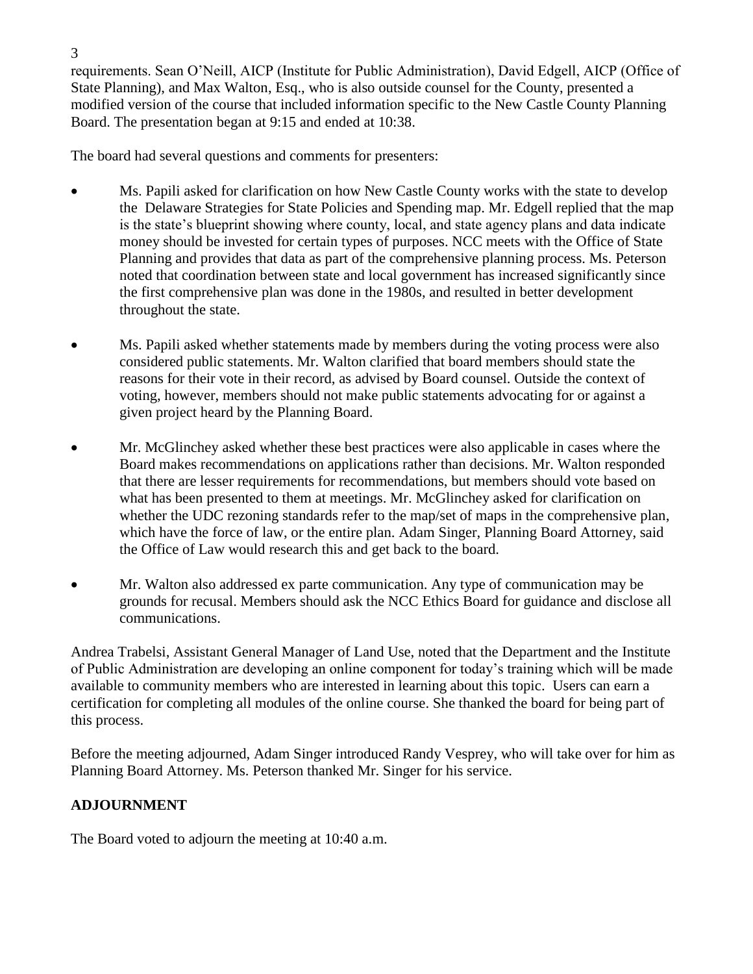requirements. Sean O'Neill, AICP (Institute for Public Administration), David Edgell, AICP (Office of State Planning), and Max Walton, Esq., who is also outside counsel for the County, presented a modified version of the course that included information specific to the New Castle County Planning Board. The presentation began at 9:15 and ended at 10:38.

The board had several questions and comments for presenters:

- Ms. Papili asked for clarification on how New Castle County works with the state to develop the Delaware Strategies for State Policies and Spending map. Mr. Edgell replied that the map is the state's blueprint showing where county, local, and state agency plans and data indicate money should be invested for certain types of purposes. NCC meets with the Office of State Planning and provides that data as part of the comprehensive planning process. Ms. Peterson noted that coordination between state and local government has increased significantly since the first comprehensive plan was done in the 1980s, and resulted in better development throughout the state.
- Ms. Papili asked whether statements made by members during the voting process were also considered public statements. Mr. Walton clarified that board members should state the reasons for their vote in their record, as advised by Board counsel. Outside the context of voting, however, members should not make public statements advocating for or against a given project heard by the Planning Board.
- Mr. McGlinchey asked whether these best practices were also applicable in cases where the Board makes recommendations on applications rather than decisions. Mr. Walton responded that there are lesser requirements for recommendations, but members should vote based on what has been presented to them at meetings. Mr. McGlinchey asked for clarification on whether the UDC rezoning standards refer to the map/set of maps in the comprehensive plan, which have the force of law, or the entire plan. Adam Singer, Planning Board Attorney, said the Office of Law would research this and get back to the board.
- Mr. Walton also addressed ex parte communication. Any type of communication may be grounds for recusal. Members should ask the NCC Ethics Board for guidance and disclose all communications.

Andrea Trabelsi, Assistant General Manager of Land Use, noted that the Department and the Institute of Public Administration are developing an online component for today's training which will be made available to community members who are interested in learning about this topic. Users can earn a certification for completing all modules of the online course. She thanked the board for being part of this process.

Before the meeting adjourned, Adam Singer introduced Randy Vesprey, who will take over for him as Planning Board Attorney. Ms. Peterson thanked Mr. Singer for his service.

# **ADJOURNMENT**

The Board voted to adjourn the meeting at 10:40 a.m.

3